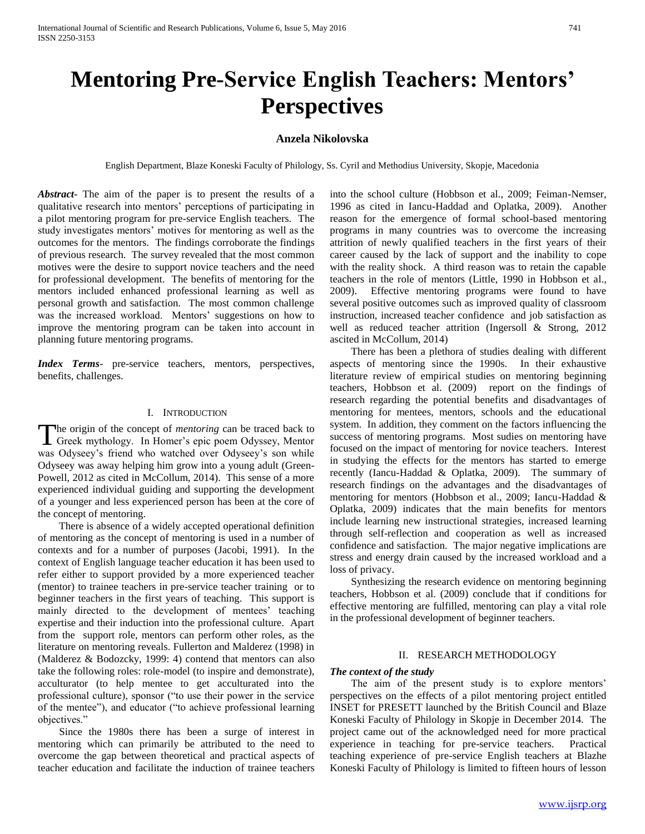# **Mentoring Pre-Service English Teachers: Mentors' Perspectives**

## **Anzela Nikolovska**

English Department, Blaze Koneski Faculty of Philology, Ss. Cyril and Methodius University, Skopje, Macedonia

*Abstract***-** The aim of the paper is to present the results of a qualitative research into mentors' perceptions of participating in a pilot mentoring program for pre-service English teachers. The study investigates mentors' motives for mentoring as well as the outcomes for the mentors. The findings corroborate the findings of previous research. The survey revealed that the most common motives were the desire to support novice teachers and the need for professional development. The benefits of mentoring for the mentors included enhanced professional learning as well as personal growth and satisfaction. The most common challenge was the increased workload. Mentors' suggestions on how to improve the mentoring program can be taken into account in planning future mentoring programs.

*Index Terms*- pre-service teachers, mentors, perspectives, benefits, challenges.

## I. INTRODUCTION

he origin of the concept of *mentoring* can be traced back to The origin of the concept of *mentoring* can be traced back to Greek mythology. In Homer's epic poem Odyssey, Mentor was Odyseey's friend who watched over Odyseey's son while Odyseey was away helping him grow into a young adult (Green-Powell, 2012 as cited in McCollum, 2014). This sense of a more experienced individual guiding and supporting the development of a younger and less experienced person has been at the core of the concept of mentoring.

 There is absence of a widely accepted operational definition of mentoring as the concept of mentoring is used in a number of contexts and for a number of purposes (Jacobi, 1991). In the context of English language teacher education it has been used to refer either to support provided by a more experienced teacher (mentor) to trainee teachers in pre-service teacher training or to beginner teachers in the first years of teaching. This support is mainly directed to the development of mentees' teaching expertise and their induction into the professional culture. Apart from the support role, mentors can perform other roles, as the literature on mentoring reveals. Fullerton and Malderez (1998) in (Malderez & Bodozcky, 1999: 4) contend that mentors can also take the following roles: role-model (to inspire and demonstrate), acculturator (to help mentee to get acculturated into the professional culture), sponsor ("to use their power in the service of the mentee"), and educator ("to achieve professional learning objectives."

 Since the 1980s there has been a surge of interest in mentoring which can primarily be attributed to the need to overcome the gap between theoretical and practical aspects of teacher education and facilitate the induction of trainee teachers

into the school culture (Hobbson et al., 2009; Feiman-Nemser, 1996 as cited in Iancu-Haddad and Oplatka, 2009).Another reason for the emergence of formal school-based mentoring programs in many countries was to overcome the increasing attrition of newly qualified teachers in the first years of their career caused by the lack of support and the inability to cope with the reality shock. A third reason was to retain the capable teachers in the role of mentors (Little, 1990 in Hobbson et al., 2009). Effective mentoring programs were found to have several positive outcomes such as improved quality of classroom instruction, increased teacher confidence and job satisfaction as well as reduced teacher attrition (Ingersoll & Strong, 2012 ascited in McCollum, 2014)

 There has been a plethora of studies dealing with different aspects of mentoring since the 1990s. In their exhaustive literature review of empirical studies on mentoring beginning teachers, Hobbson et al. (2009) report on the findings of research regarding the potential benefits and disadvantages of mentoring for mentees, mentors, schools and the educational system. In addition, they comment on the factors influencing the success of mentoring programs. Most sudies on mentoring have focused on the impact of mentoring for novice teachers. Interest in studying the effects for the mentors has started to emerge recently (Iancu-Haddad & Oplatka, 2009). The summary of research findings on the advantages and the disadvantages of mentoring for mentors (Hobbson et al., 2009; Iancu-Haddad & Oplatka, 2009) indicates that the main benefits for mentors include learning new instructional strategies, increased learning through self-reflection and cooperation as well as increased confidence and satisfaction. The major negative implications are stress and energy drain caused by the increased workload and a loss of privacy.

 Synthesizing the research evidence on mentoring beginning teachers, Hobbson et al. (2009) conclude that if conditions for effective mentoring are fulfilled, mentoring can play a vital role in the professional development of beginner teachers.

#### II. RESEARCH METHODOLOGY

#### *The context of the study*

 The aim of the present study is to explore mentors' perspectives on the effects of a pilot mentoring project entitled INSET for PRESETT launched by the British Council and Blaze Koneski Faculty of Philology in Skopje in December 2014. The project came out of the acknowledged need for more practical experience in teaching for pre-service teachers. Practical teaching experience of pre-service English teachers at Blazhe Koneski Faculty of Philology is limited to fifteen hours of lesson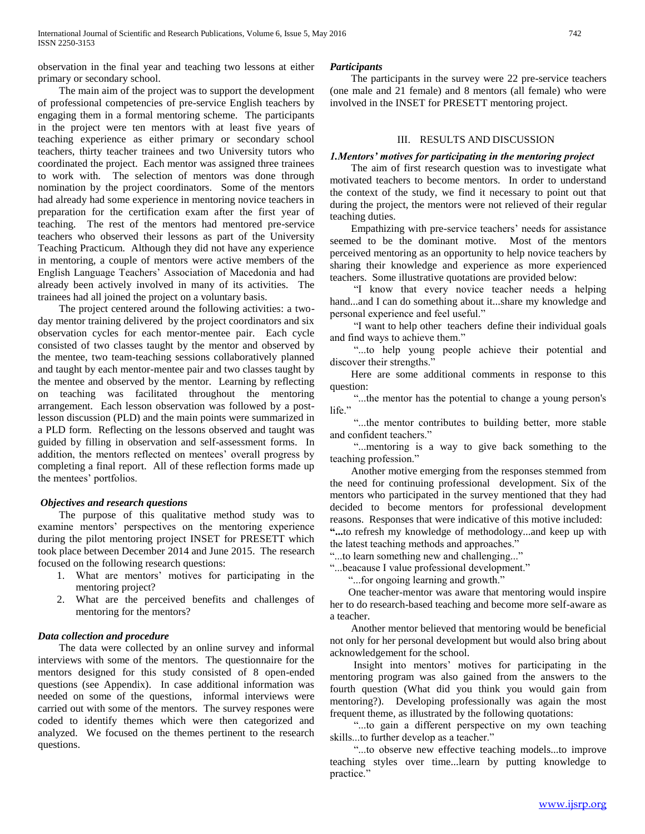observation in the final year and teaching two lessons at either primary or secondary school.

 The main aim of the project was to support the development of professional competencies of pre-service English teachers by engaging them in a formal mentoring scheme. The participants in the project were ten mentors with at least five years of teaching experience as either primary or secondary school teachers, thirty teacher trainees and two University tutors who coordinated the project. Each mentor was assigned three trainees to work with. The selection of mentors was done through nomination by the project coordinators. Some of the mentors had already had some experience in mentoring novice teachers in preparation for the certification exam after the first year of teaching. The rest of the mentors had mentored pre-service teachers who observed their lessons as part of the University Teaching Practicum. Although they did not have any experience in mentoring, a couple of mentors were active members of the English Language Teachers' Association of Macedonia and had already been actively involved in many of its activities. The trainees had all joined the project on a voluntary basis.

 The project centered around the following activities: a twoday mentor training delivered by the project coordinators and six observation cycles for each mentor-mentee pair. Each cycle consisted of two classes taught by the mentor and observed by the mentee, two team-teaching sessions collaboratively planned and taught by each mentor-mentee pair and two classes taught by the mentee and observed by the mentor. Learning by reflecting on teaching was facilitated throughout the mentoring arrangement. Each lesson observation was followed by a postlesson discussion (PLD) and the main points were summarized in a PLD form. Reflecting on the lessons observed and taught was guided by filling in observation and self-assessment forms. In addition, the mentors reflected on mentees' overall progress by completing a final report. All of these reflection forms made up the mentees' portfolios.

#### *Objectives and research questions*

 The purpose of this qualitative method study was to examine mentors' perspectives on the mentoring experience during the pilot mentoring project INSET for PRESETT which took place between December 2014 and June 2015. The research focused on the following research questions:

- 1. What are mentors' motives for participating in the mentoring project?
- 2. What are the perceived benefits and challenges of mentoring for the mentors?

## *Data collection and procedure*

 The data were collected by an online survey and informal interviews with some of the mentors. The questionnaire for the mentors designed for this study consisted of 8 open-ended questions (see Appendix). In case additional information was needed on some of the questions, informal interviews were carried out with some of the mentors. The survey respones were coded to identify themes which were then categorized and analyzed. We focused on the themes pertinent to the research questions.

#### *Participants*

 The participants in the survey were 22 pre-service teachers (one male and 21 female) and 8 mentors (all female) who were involved in the INSET for PRESETT mentoring project.

### III. RESULTS AND DISCUSSION

#### *1.Mentors' motives for participating in the mentoring project*

 The aim of first research question was to investigate what motivated teachers to become mentors. In order to understand the context of the study, we find it necessary to point out that during the project, the mentors were not relieved of their regular teaching duties.

 Empathizing with pre-service teachers' needs for assistance seemed to be the dominant motive. Most of the mentors perceived mentoring as an opportunity to help novice teachers by sharing their knowledge and experience as more experienced teachers. Some illustrative quotations are provided below:

 "I know that every novice teacher needs a helping hand...and I can do something about it...share my knowledge and personal experience and feel useful."

 "I want to help other teachers define their individual goals and find ways to achieve them."

 "...to help young people achieve their potential and discover their strengths."

 Here are some additional comments in response to this question:

 "...the mentor has the potential to change a young person's life."

 "...the mentor contributes to building better, more stable and confident teachers."

 "...mentoring is a way to give back something to the teaching profession."

 Another motive emerging from the responses stemmed from the need for continuing professional development. Six of the mentors who participated in the survey mentioned that they had decided to become mentors for professional development reasons. Responses that were indicative of this motive included: **"...**to refresh my knowledge of methodology...and keep up with the latest teaching methods and approaches.'

"...to learn something new and challenging..."

"...beacause I value professional development."

"...for ongoing learning and growth."

 One teacher-mentor was aware that mentoring would inspire her to do research-based teaching and become more self-aware as a teacher.

 Another mentor believed that mentoring would be beneficial not only for her personal development but would also bring about acknowledgement for the school.

 Insight into mentors' motives for participating in the mentoring program was also gained from the answers to the fourth question (What did you think you would gain from mentoring?). Developing professionally was again the most frequent theme, as illustrated by the following quotations:

 "...to gain a different perspective on my own teaching skills...to further develop as a teacher."

 "...to observe new effective teaching models...to improve teaching styles over time...learn by putting knowledge to practice."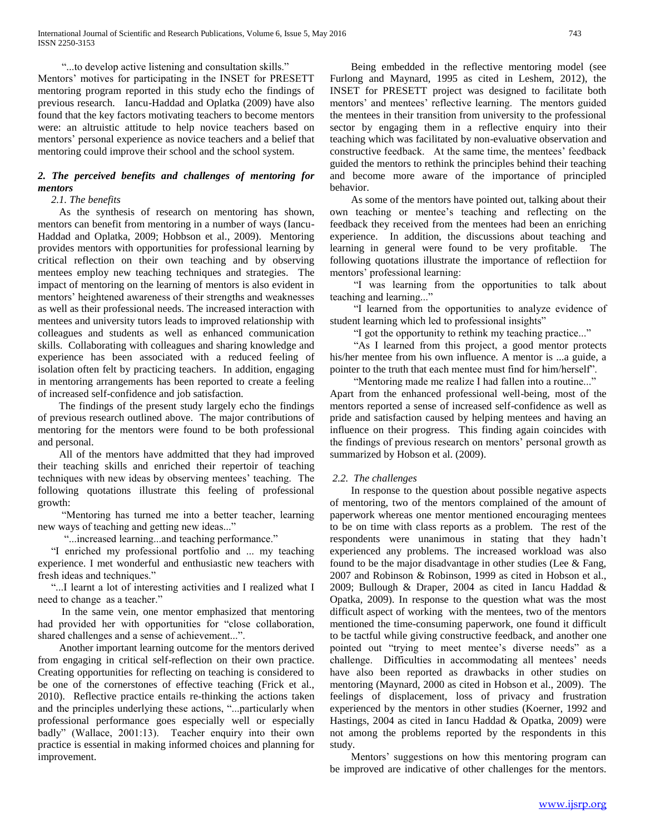"...to develop active listening and consultation skills." Mentors' motives for participating in the INSET for PRESETT mentoring program reported in this study echo the findings of previous research. Iancu-Haddad and Oplatka (2009) have also found that the key factors motivating teachers to become mentors were: an altruistic attitude to help novice teachers based on mentors' personal experience as novice teachers and a belief that mentoring could improve their school and the school system.

## *2. The perceived benefits and challenges of mentoring for mentors*

#### *2.1. The benefits*

 As the synthesis of research on mentoring has shown, mentors can benefit from mentoring in a number of ways (Iancu-Haddad and Oplatka, 2009; Hobbson et al., 2009). Mentoring provides mentors with opportunities for professional learning by critical reflection on their own teaching and by observing mentees employ new teaching techniques and strategies. The impact of mentoring on the learning of mentors is also evident in mentors' heightened awareness of their strengths and weaknesses as well as their professional needs. The increased interaction with mentees and university tutors leads to improved relationship with colleagues and students as well as enhanced communication skills. Collaborating with colleagues and sharing knowledge and experience has been associated with a reduced feeling of isolation often felt by practicing teachers. In addition, engaging in mentoring arrangements has been reported to create a feeling of increased self-confidence and job satisfaction.

 The findings of the present study largely echo the findings of previous research outlined above. The major contributions of mentoring for the mentors were found to be both professional and personal.

 All of the mentors have addmitted that they had improved their teaching skills and enriched their repertoir of teaching techniques with new ideas by observing mentees' teaching. The following quotations illustrate this feeling of professional growth:

 "Mentoring has turned me into a better teacher, learning new ways of teaching and getting new ideas..."

"...increased learning...and teaching performance."

 "I enriched my professional portfolio and ... my teaching experience. I met wonderful and enthusiastic new teachers with fresh ideas and techniques."

 "...I learnt a lot of interesting activities and I realized what I need to change as a teacher."

 In the same vein, one mentor emphasized that mentoring had provided her with opportunities for "close collaboration, shared challenges and a sense of achievement...".

 Another important learning outcome for the mentors derived from engaging in critical self-reflection on their own practice. Creating opportunities for reflecting on teaching is considered to be one of the cornerstones of effective teaching (Frick et al., 2010). Reflective practice entails re-thinking the actions taken and the principles underlying these actions, "...particularly when professional performance goes especially well or especially badly" (Wallace, 2001:13). Teacher enquiry into their own practice is essential in making informed choices and planning for improvement.

 Being embedded in the reflective mentoring model (see Furlong and Maynard, 1995 as cited in Leshem, 2012), the INSET for PRESETT project was designed to facilitate both mentors' and mentees' reflective learning. The mentors guided the mentees in their transition from university to the professional sector by engaging them in a reflective enquiry into their teaching which was facilitated by non-evaluative observation and constructive feedback. At the same time, the mentees' feedback guided the mentors to rethink the principles behind their teaching and become more aware of the importance of principled behavior.

 As some of the mentors have pointed out, talking about their own teaching or mentee's teaching and reflecting on the feedback they received from the mentees had been an enriching experience. In addition, the discussions about teaching and learning in general were found to be very profitable. The following quotations illustrate the importance of reflectiion for mentors' professional learning:

 "I was learning from the opportunities to talk about teaching and learning..."

 "I learned from the opportunities to analyze evidence of student learning which led to professional insights"

"I got the opportunity to rethink my teaching practice..."

 "As I learned from this project, a good mentor protects his/her mentee from his own influence. A mentor is ...a guide, a pointer to the truth that each mentee must find for him/herself".

 "Mentoring made me realize I had fallen into a routine..." Apart from the enhanced professional well-being, most of the mentors reported a sense of increased self-confidence as well as pride and satisfaction caused by helping mentees and having an influence on their progress. This finding again coincides with the findings of previous research on mentors' personal growth as summarized by Hobson et al. (2009).

## *2.2. The challenges*

 In response to the question about possible negative aspects of mentoring, two of the mentors complained of the amount of paperwork whereas one mentor mentioned encouraging mentees to be on time with class reports as a problem. The rest of the respondents were unanimous in stating that they hadn't experienced any problems. The increased workload was also found to be the major disadvantage in other studies (Lee  $&$  Fang, 2007 and Robinson & Robinson, 1999 as cited in Hobson et al., 2009; Bullough & Draper, 2004 as cited in Iancu Haddad & Opatka, 2009). In response to the question what was the most difficult aspect of working with the mentees, two of the mentors mentioned the time-consuming paperwork, one found it difficult to be tactful while giving constructive feedback, and another one pointed out "trying to meet mentee's diverse needs" as a challenge. Difficulties in accommodating all mentees' needs have also been reported as drawbacks in other studies on mentoring (Maynard, 2000 as cited in Hobson et al., 2009). The feelings of displacement, loss of privacy and frustration experienced by the mentors in other studies (Koerner, 1992 and Hastings, 2004 as cited in Iancu Haddad & Opatka, 2009) were not among the problems reported by the respondents in this study.

 Mentors' suggestions on how this mentoring program can be improved are indicative of other challenges for the mentors.